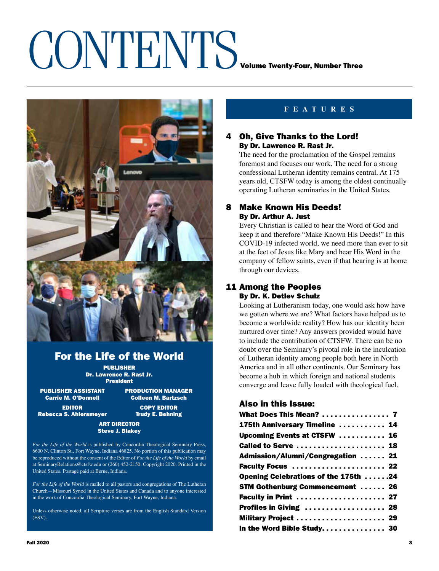## CONTENTS VOLUME THE THREE



## For the Life of the World

PUBLISHER Dr. Lawrence R. Rast Jr. President

PUBLISHER ASSISTANT PRODUCTION MANAGER<br>Carrie M. O'Donnell Colleen M. Bartzsch

**Colleen M. Bartzsch** EDITOR COPY EDITOR

Rebecca S. Ahlersmeyer Trudy E. Behning

### ART DIRECTOR Steve J. Blakey

*For the Life of the World* is published by Concordia Theological Seminary Press, 6600 N. Clinton St., Fort Wayne, Indiana 46825. No portion of this publication may be reproduced without the consent of the Editor of *For the Life of the World* by email at SeminaryRelations@ctsfw.edu or (260) 452-2150. Copyright 2020. Printed in the United States. Postage paid at Berne, Indiana.

*For the Life of the World* is mailed to all pastors and congregations of The Lutheran Church—Missouri Synod in the United States and Canada and to anyone interested in the work of Concordia Theological Seminary, Fort Wayne, Indiana.

Unless otherwise noted, all Scripture verses are from the English Standard Version (ESV).

### **FEATURES**

### **Oh. Give Thanks to the Lord!** By Dr. Lawrence R. Rast Jr.

The need for the proclamation of the Gospel remains foremost and focuses our work. The need for a strong confessional Lutheran identity remains central. At 175 years old, CTSFW today is among the oldest continually operating Lutheran seminaries in the United States.

### 8 Make Known His Deeds! By Dr. Arthur A. Just

Every Christian is called to hear the Word of God and keep it and therefore "Make Known His Deeds!" In this COVID-19 infected world, we need more than ever to sit at the feet of Jesus like Mary and hear His Word in the company of fellow saints, even if that hearing is at home through our devices.

### 11 Among the Peoples By Dr. K. Detlev Schulz

Looking at Lutheranism today, one would ask how have we gotten where we are? What factors have helped us to become a worldwide reality? How has our identity been nurtured over time? Any answers provided would have to include the contribution of CTSFW. There can be no doubt over the Seminary's pivotal role in the inculcation of Lutheran identity among people both here in North America and in all other continents. Our Seminary has become a hub in which foreign and national students converge and leave fully loaded with theological fuel.

### Also in this Issue:

| What Does This Mean?  7                |  |
|----------------------------------------|--|
| 175th Anniversary Timeline  14         |  |
| Upcoming Events at CTSFW  16           |  |
| Called to Serve  18                    |  |
| Admission/Alumni/Congregation  21      |  |
| Faculty Focus  22                      |  |
| Opening Celebrations of the 175th 24   |  |
| <b>STM Gothenburg Commencement  26</b> |  |
| Faculty in Print  27                   |  |
| Profiles in Giving  28                 |  |
| Military Project  29                   |  |
| In the Word Bible Study. 30            |  |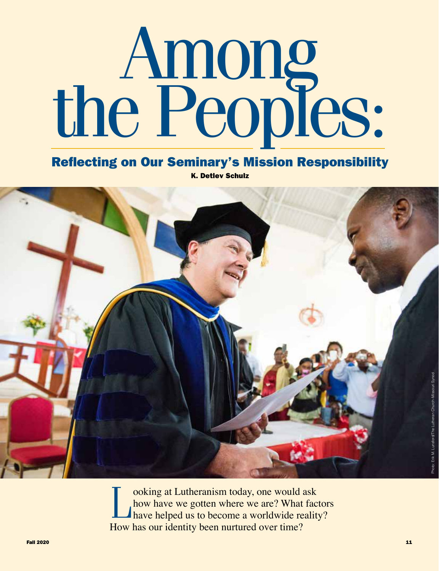# Among<br>the Peoples:

Reflecting on Our Seminary's Mission Responsibility

K. Detlev Schulz



ooking at Lutheranism today, one would ask<br>how have we gotten where we are? What factor<br>have helped us to become a worldwide reality? how have we gotten where we are? What factors How has our identity been nurtured over time?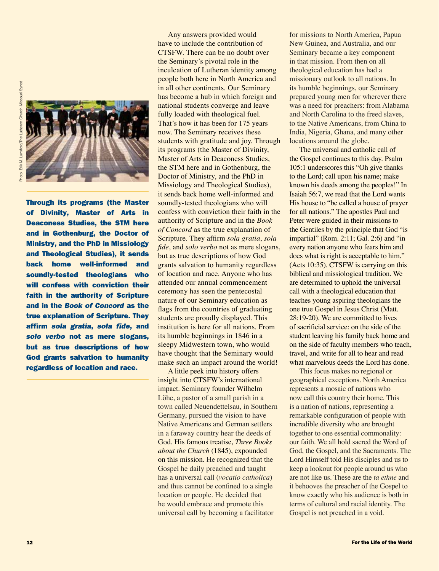

Through its programs (the Master<br>of Divinity, Master of Arts in<br>Deaconess Studies, the STM here<br>and in Gothenburg, the Doctor of<br>Ministry, and the PhD in Missiology<br>and Theological Studies), it sends<br>back home well-informe of Divinity, Master of Arts in Deaconess Studies, the STM here and in Gothenburg, the Doctor of Ministry, and the PhD in Missiology and Theological Studies), it sends back home well-informed and soundly-tested theologians who will confess with conviction their faith in the authority of Scripture and in the *Book of Concord* as the true explanation of Scripture. They affirm *sola gratia*, *sola fide*, and *solo verbo* not as mere slogans, but as true descriptions of how God grants salvation to humanity regardless of location and race.

Any answers provided would have to include the contribution of CTSFW. There can be no doubt over the Seminary's pivotal role in the inculcation of Lutheran identity among people both here in North America and in all other continents. Our Seminary has become a hub in which foreign and national students converge and leave fully loaded with theological fuel. That's how it has been for 175 years now. The Seminary receives these students with gratitude and joy. Through its programs (the Master of Divinity, Master of Arts in Deaconess Studies, the STM here and in Gothenburg, the Doctor of Ministry, and the PhD in Missiology and Theological Studies), it sends back home well-informed and soundly-tested theologians who will confess with conviction their faith in the authority of Scripture and in the *Book of Concord* as the true explanation of Scripture. They affirm *sola gratia*, *sola fide*, and *solo verbo* not as mere slogans, but as true descriptions of how God grants salvation to humanity regardless of location and race. Anyone who has attended our annual commencement ceremony has seen the pentecostal nature of our Seminary education as flags from the countries of graduating students are proudly displayed. This institution is here for all nations. From its humble beginnings in 1846 in a sleepy Midwestern town, who would have thought that the Seminary would make such an impact around the world!

A little peek into history offers insight into CTSFW's international impact. Seminary founder Wilhelm Löhe, a pastor of a small parish in a town called Neuendettelsau, in Southern Germany, pursued the vision to have Native Americans and German settlers in a faraway country hear the deeds of God. His famous treatise, *Three Books about the Church* (1845), expounded on this mission. He recognized that the Gospel he daily preached and taught has a universal call (*vocatio catholica*) and thus cannot be confined to a single location or people. He decided that he would embrace and promote this universal call by becoming a facilitator

for missions to North America, Papua New Guinea, and Australia, and our Seminary became a key component in that mission. From then on all theological education has had a missionary outlook to all nations. In its humble beginnings, our Seminary prepared young men for wherever there was a need for preachers: from Alabama and North Carolina to the freed slaves, to the Native Americans, from China to India, Nigeria, Ghana, and many other locations around the globe.

The universal and catholic call of the Gospel continues to this day. Psalm 105:1 underscores this "Oh give thanks to the Lord; call upon his name; make known his deeds among the peoples!" In Isaiah 56:7, we read that the Lord wants His house to "be called a house of prayer for all nations." The apostles Paul and Peter were guided in their missions to the Gentiles by the principle that God "is impartial" (Rom. 2:11; Gal. 2:6) and "in every nation anyone who fears him and does what is right is acceptable to him." (Acts 10:35). CTSFW is carrying on this biblical and missiological tradition. We are determined to uphold the universal call with a theological education that teaches young aspiring theologians the one true Gospel in Jesus Christ (Matt. 28:19-20). We are committed to lives of sacrificial service: on the side of the student leaving his family back home and on the side of faculty members who teach, travel, and write for all to hear and read what marvelous deeds the Lord has done.

This focus makes no regional or geographical exceptions. North America represents a mosaic of nations who now call this country their home. This is a nation of nations, representing a remarkable configuration of people with incredible diversity who are brought together to one essential commonality: our faith. We all hold sacred the Word of God, the Gospel, and the Sacraments. The Lord Himself told His disciples and us to keep a lookout for people around us who are not like us. These are the *ta ethne* and it behooves the preacher of the Gospel to know exactly who his audience is both in terms of cultural and racial identity. The Gospel is not preached in a void.